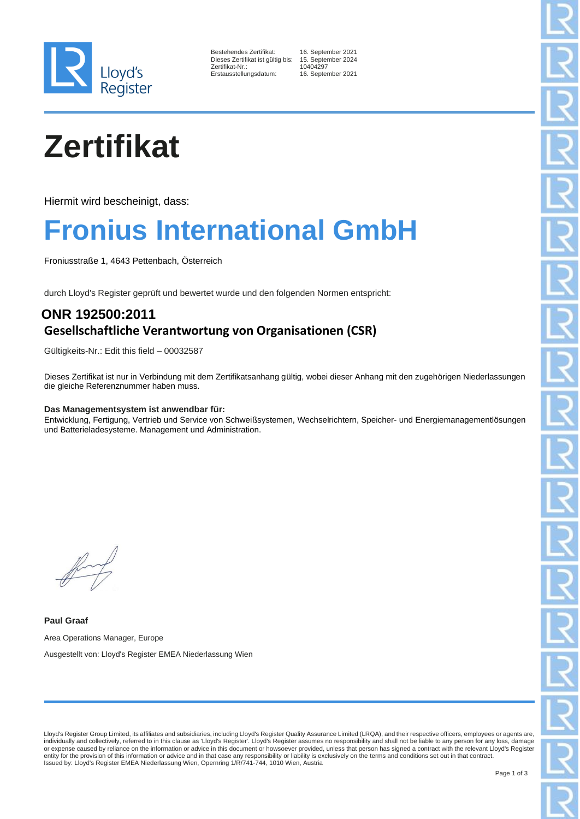

16. September 2021<br>is: 15. September 2024 15. September 2024 10404297 16. September 2021

# **Zertifikat**

Hiermit wird bescheinigt, dass:

### **Fronius International GmbH**

Froniusstraße 1, 4643 Pettenbach, Österreich

durch Lloyd's Register geprüft und bewertet wurde und den folgenden Normen entspricht:

### **ONR 192500:2011 Gesellschaftliche Verantwortung von Organisationen (CSR)**

Gültigkeits-Nr.: Edit this field – 00032587

Dieses Zertifikat ist nur in Verbindung mit dem Zertifikatsanhang gültig, wobei dieser Anhang mit den zugehörigen Niederlassungen die gleiche Referenznummer haben muss.

#### **Das Managementsystem ist anwendbar für:**

Entwicklung, Fertigung, Vertrieb und Service von Schweißsystemen, Wechselrichtern, Speicher- und Energiemanagementlösungen und Batterieladesysteme. Management und Administration.

**Paul Graaf** Area Operations Manager, Europe Ausgestellt von: Lloyd's Register EMEA Niederlassung Wien

Lloyd's Register Group Limited, its affiliates and subsidiaries, including Lloyd's Register Quality Assurance Limited (LRQA), and their respective officers, employees or agents are, individually and collectively, referred to in this clause as 'Lloyd's Register'. Lloyd's Register assumes no responsibility and shall not be liable to any person for any loss, damage<br>or expense caused by reliance on the in Issued by: Lloyd's Register EMEA Niederlassung Wien, Opernring 1/R/741-744, 1010 Wien, Austria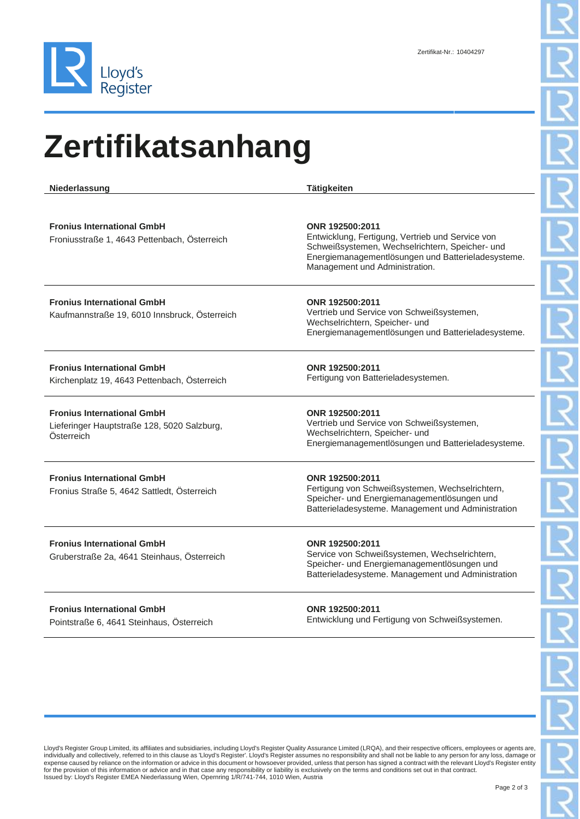

## **Zertifikatsanhang**

**Niederlassung Tätigkeiten Fronius International GmbH** Froniusstraße 1, 4643 Pettenbach, Österreich **ONR 192500:2011** Entwicklung, Fertigung, Vertrieb und Service von Schweißsystemen, Wechselrichtern, Speicher- und Energiemanagementlösungen und Batterieladesysteme. Management und Administration. **Fronius International GmbH** Kaufmannstraße 19, 6010 Innsbruck, Österreich **ONR 192500:2011** Vertrieb und Service von Schweißsystemen, Wechselrichtern, Speicher- und Energiemanagementlösungen und Batterieladesysteme. **Fronius International GmbH** Kirchenplatz 19, 4643 Pettenbach, Österreich **ONR 192500:2011** Fertigung von Batterieladesystemen. **Fronius International GmbH** Lieferinger Hauptstraße 128, 5020 Salzburg, Österreich **ONR 192500:2011** Vertrieb und Service von Schweißsystemen, Wechselrichtern, Speicher- und Energiemanagementlösungen und Batterieladesysteme. **Fronius International GmbH** Fronius Straße 5, 4642 Sattledt, Österreich **ONR 192500:2011** Fertigung von Schweißsystemen, Wechselrichtern, Speicher- und Energiemanagementlösungen und Batterieladesysteme. Management und Administration **Fronius International GmbH** Gruberstraße 2a, 4641 Steinhaus, Österreich **ONR 192500:2011** Service von Schweißsystemen, Wechselrichtern, Speicher- und Energiemanagementlösungen und Batterieladesysteme. Management und Administration

**Fronius International GmbH** Pointstraße 6, 4641 Steinhaus, Österreich **ONR 192500:2011** Entwicklung und Fertigung von Schweißsystemen.